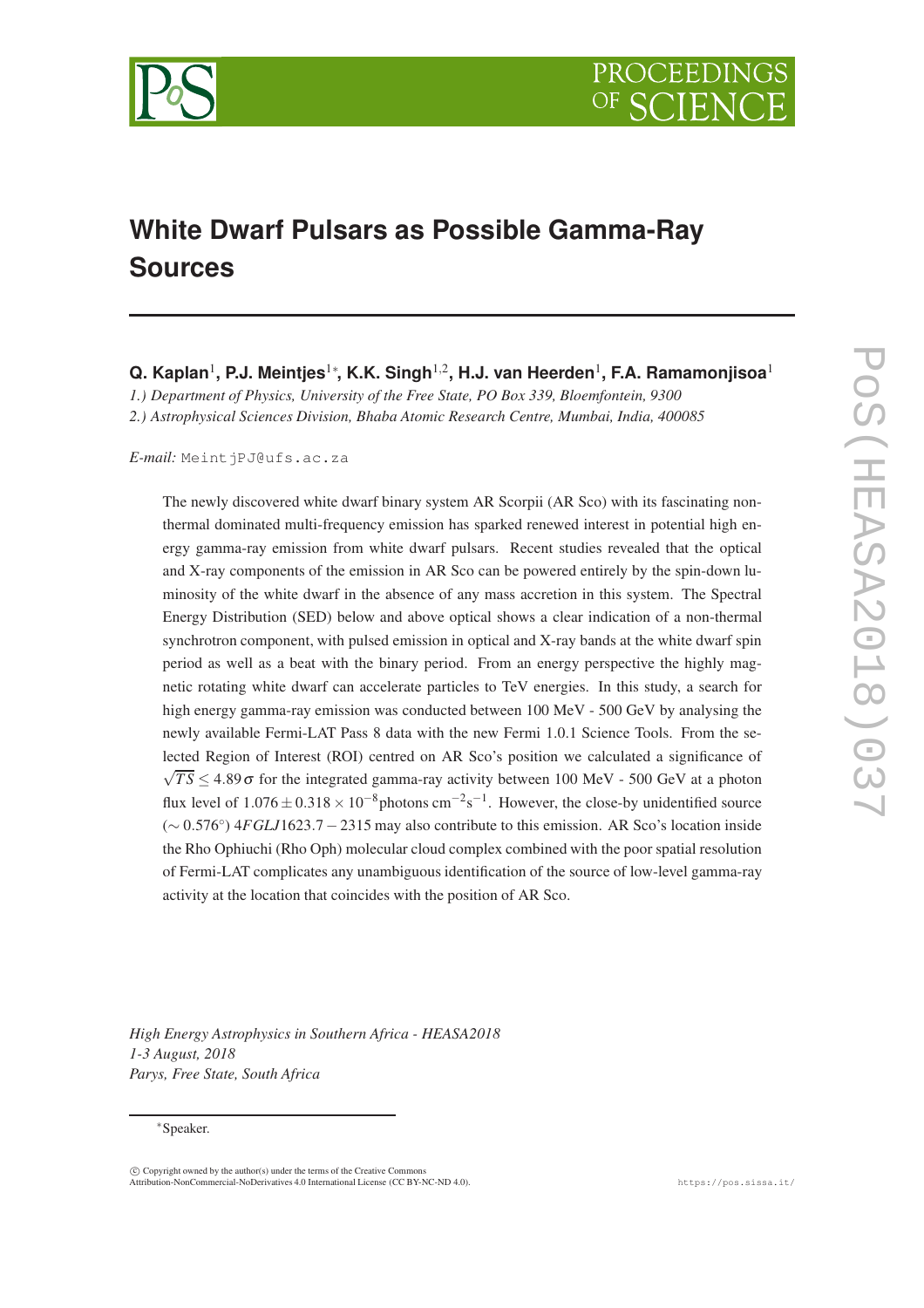

# **White Dwarf Pulsars as Possible Gamma-Ray Sources**

**Q. Kaplan<sup>1</sup>, P.J. Meintjes<sup>1</sup>\*, K.K. Singh<sup>1,2</sup>, H.J. van Heerden<sup>1</sup>, F.A. Ramamonjisoa<sup>1</sup>** 

*1.) Department of Physics, University of the Free State, PO Box 339, Bloemfontein, 9300 2.) Astrophysical Sciences Division, Bhaba Atomic Research Centre, Mumbai, India, 400085*

*E-mail:* MeintjPJ@ufs.ac.za

The newly discovered white dwarf binary system AR Scorpii (AR Sco) with its fascinating nonthermal dominated multi-frequency emission has sparked renewed interest in potential high energy gamma-ray emission from white dwarf pulsars. Recent studies revealed that the optical and X-ray components of the emission in AR Sco can be powered entirely by the spin-down luminosity of the white dwarf in the absence of any mass accretion in this system. The Spectral Energy Distribution (SED) below and above optical shows a clear indication of a non-thermal synchrotron component, with pulsed emission in optical and X-ray bands at the white dwarf spin period as well as a beat with the binary period. From an energy perspective the highly magnetic rotating white dwarf can accelerate particles to TeV energies. In this study, a search for high energy gamma-ray emission was conducted between 100 MeV - 500 GeV by analysing the newly available Fermi-LAT Pass 8 data with the new Fermi 1.0.1 Science Tools. From the selected Region of Interest (ROI) centred on AR Sco's position we calculated a significance of  $\sqrt{TS}$  ≤ 4.89 $\sigma$  for the integrated gamma-ray activity between 100 MeV - 500 GeV at a photon flux level of  $1.076 \pm 0.318 \times 10^{-8}$  photons cm<sup>-2</sup>s<sup>-1</sup>. However, the close-by unidentified source (∼ 0.576◦ ) 4*FGLJ*1623.7−2315 may also contribute to this emission. AR Sco's location inside the Rho Ophiuchi (Rho Oph) molecular cloud complex combined with the poor spatial resolution of Fermi-LAT complicates any unambiguous identification of the source of low-level gamma-ray activity at the location that coincides with the position of AR Sco.

*High Energy Astrophysics in Southern Africa - HEASA2018 1-3 August, 2018 Parys, Free State, South Africa*

#### ∗Speaker.

c Copyright owned by the author(s) under the terms of the Creative Commons Attribution-NonCommercial-NoDerivatives 4.0 International License (CC BY-NC-ND 4.0). https://pos.sissa.it/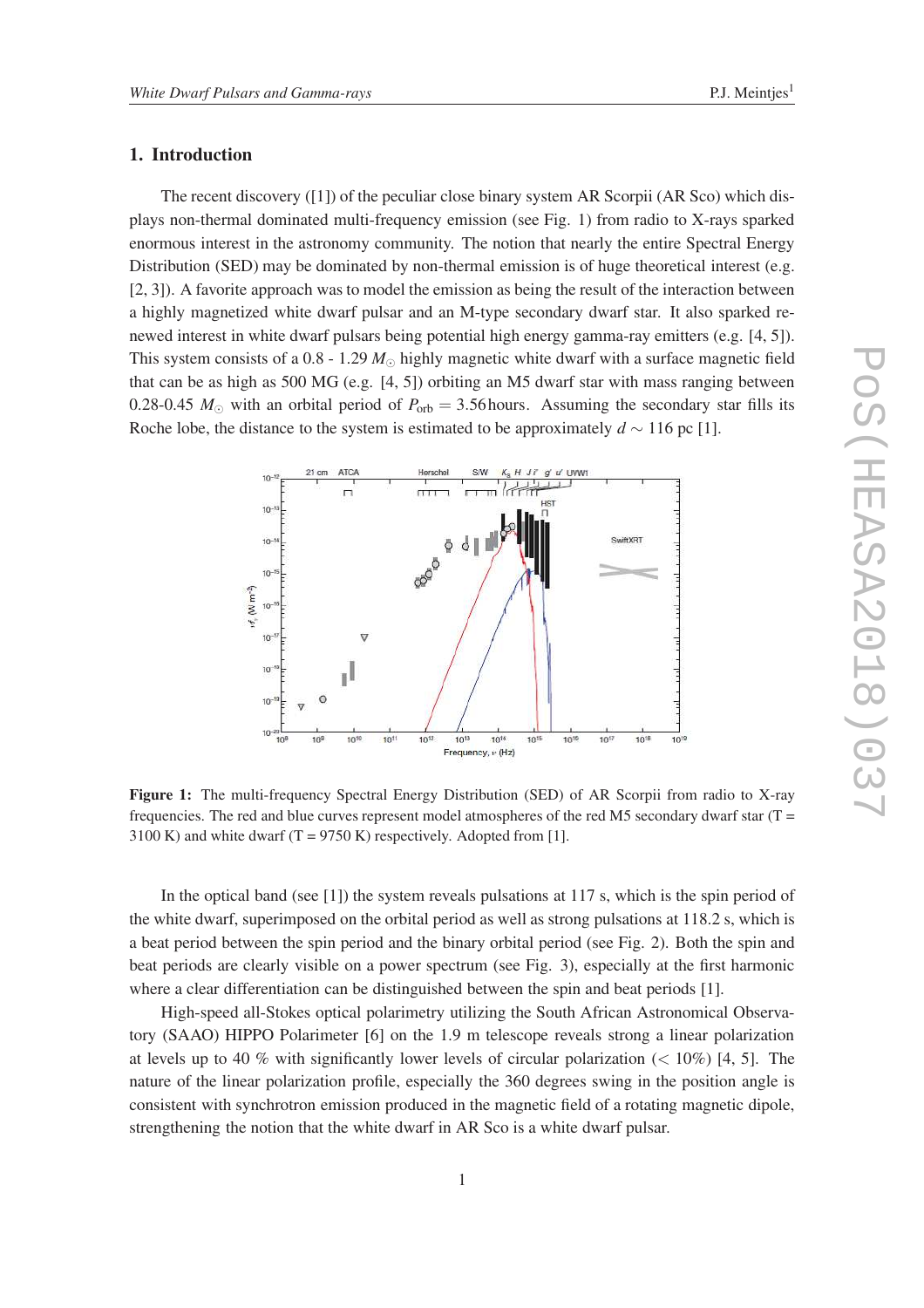## 1. Introduction

The recent discovery ([1]) of the peculiar close binary system AR Scorpii (AR Sco) which displays non-thermal dominated multi-frequency emission (see Fig. 1) from radio to X-rays sparked enormous interest in the astronomy community. The notion that nearly the entire Spectral Energy Distribution (SED) may be dominated by non-thermal emission is of huge theoretical interest (e.g. [2, 3]). A favorite approach was to model the emission as being the result of the interaction between a highly magnetized white dwarf pulsar and an M-type secondary dwarf star. It also sparked renewed interest in white dwarf pulsars being potential high energy gamma-ray emitters (e.g. [4, 5]). This system consists of a 0.8 - 1.29  $M_{\odot}$  highly magnetic white dwarf with a surface magnetic field that can be as high as 500 MG (e.g. [4, 5]) orbiting an M5 dwarf star with mass ranging between 0.28-0.45  $M_{\odot}$  with an orbital period of  $P_{\rm orb} = 3.56$  hours. Assuming the secondary star fills its Roche lobe, the distance to the system is estimated to be approximately  $d \sim 116$  pc [1].



Figure 1: The multi-frequency Spectral Energy Distribution (SED) of AR Scorpii from radio to X-ray frequencies. The red and blue curves represent model atmospheres of the red M5 secondary dwarf star  $(T =$ 3100 K) and white dwarf  $(T = 9750 \text{ K})$  respectively. Adopted from [1].

In the optical band (see [1]) the system reveals pulsations at 117 s, which is the spin period of the white dwarf, superimposed on the orbital period as well as strong pulsations at 118.2 s, which is a beat period between the spin period and the binary orbital period (see Fig. 2). Both the spin and beat periods are clearly visible on a power spectrum (see Fig. 3), especially at the first harmonic where a clear differentiation can be distinguished between the spin and beat periods [1].

High-speed all-Stokes optical polarimetry utilizing the South African Astronomical Observatory (SAAO) HIPPO Polarimeter [6] on the 1.9 m telescope reveals strong a linear polarization at levels up to 40 % with significantly lower levels of circular polarization  $(< 10\%)$  [4, 5]. The nature of the linear polarization profile, especially the 360 degrees swing in the position angle is consistent with synchrotron emission produced in the magnetic field of a rotating magnetic dipole, strengthening the notion that the white dwarf in AR Sco is a white dwarf pulsar.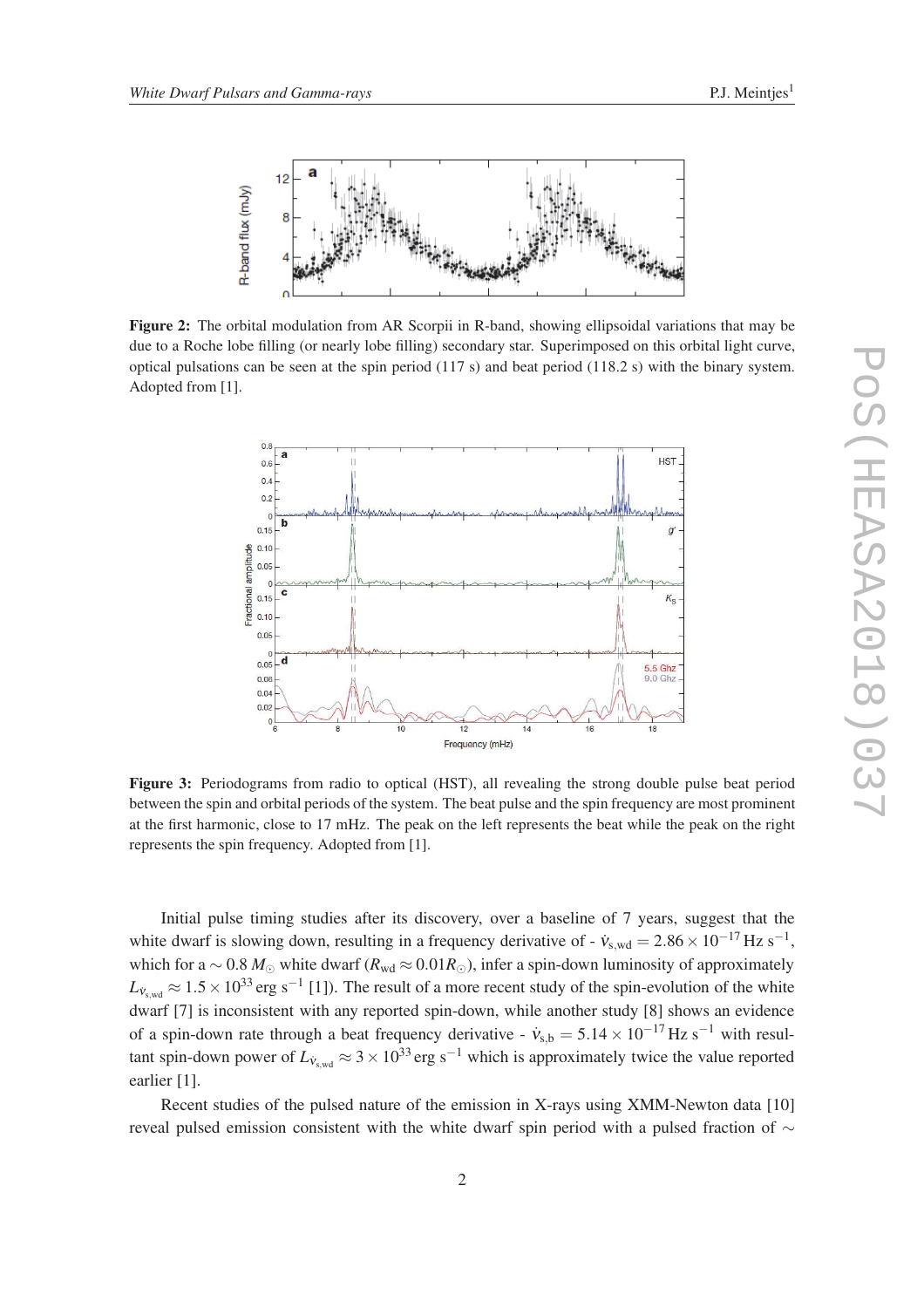

Figure 2: The orbital modulation from AR Scorpii in R-band, showing ellipsoidal variations that may be due to a Roche lobe filling (or nearly lobe filling) secondary star. Superimposed on this orbital light curve, optical pulsations can be seen at the spin period (117 s) and beat period (118.2 s) with the binary system. Adopted from [1].



Figure 3: Periodograms from radio to optical (HST), all revealing the strong double pulse beat period between the spin and orbital periods of the system. The beat pulse and the spin frequency are most prominent at the first harmonic, close to 17 mHz. The peak on the left represents the beat while the peak on the right represents the spin frequency. Adopted from [1].

Initial pulse timing studies after its discovery, over a baseline of 7 years, suggest that the white dwarf is slowing down, resulting in a frequency derivative of -  $\dot{v}_{s,wd} = 2.86 \times 10^{-17}$  Hz s<sup>-1</sup>, which for a ~ 0.8 *M*<sub>☉</sub> white dwarf ( $R_{wd} \approx 0.01R_{\odot}$ ), infer a spin-down luminosity of approximately  $L_{\dot{v}_{s,wd}} \approx 1.5 \times 10^{33}$  erg s<sup>-1</sup> [1]). The result of a more recent study of the spin-evolution of the white dwarf [7] is inconsistent with any reported spin-down, while another study [8] shows an evidence of a spin-down rate through a beat frequency derivative -  $\dot{v}_{s,b} = 5.14 \times 10^{-17}$  Hz s<sup>-1</sup> with resultant spin-down power of  $L_{V<sub>swd</sub>} \approx 3 \times 10^{33}$  erg s<sup>-1</sup> which is approximately twice the value reported earlier [1].

Recent studies of the pulsed nature of the emission in X-rays using XMM-Newton data [10] reveal pulsed emission consistent with the white dwarf spin period with a pulsed fraction of ∼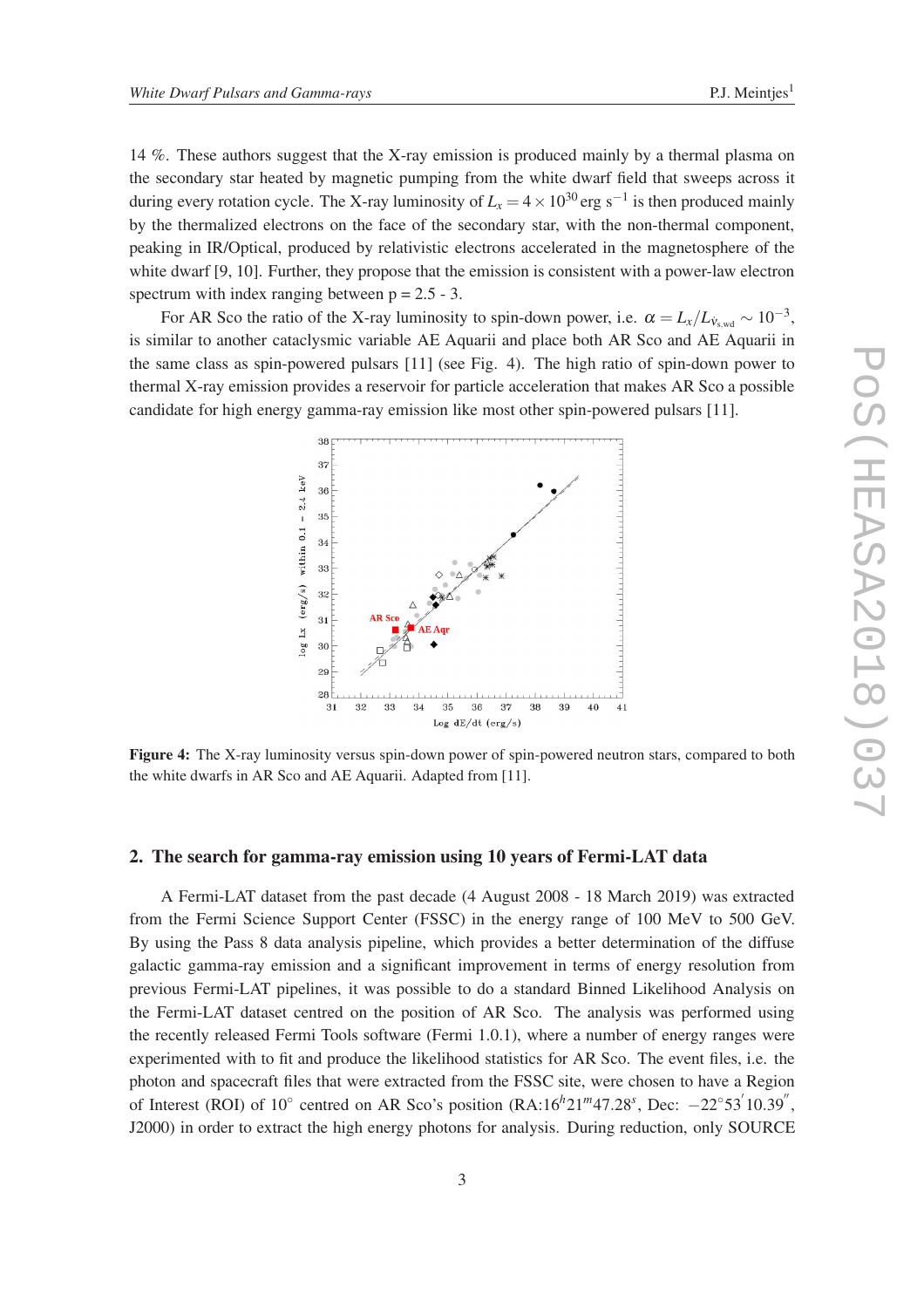14 %. These authors suggest that the X-ray emission is produced mainly by a thermal plasma on the secondary star heated by magnetic pumping from the white dwarf field that sweeps across it during every rotation cycle. The X-ray luminosity of  $L_x = 4 \times 10^{30}$  erg s<sup>-1</sup> is then produced mainly by the thermalized electrons on the face of the secondary star, with the non-thermal component, peaking in IR/Optical, produced by relativistic electrons accelerated in the magnetosphere of the white dwarf [9, 10]. Further, they propose that the emission is consistent with a power-law electron spectrum with index ranging between  $p = 2.5 - 3$ .

For AR Sco the ratio of the X-ray luminosity to spin-down power, i.e.  $\alpha = L_x/L_{\dot{v}_{s,wd}} \sim 10^{-3}$ , is similar to another cataclysmic variable AE Aquarii and place both AR Sco and AE Aquarii in the same class as spin-powered pulsars [11] (see Fig. 4). The high ratio of spin-down power to thermal X-ray emission provides a reservoir for particle acceleration that makes AR Sco a possible candidate for high energy gamma-ray emission like most other spin-powered pulsars [11].



Figure 4: The X-ray luminosity versus spin-down power of spin-powered neutron stars, compared to both the white dwarfs in AR Sco and AE Aquarii. Adapted from [11].

#### 2. The search for gamma-ray emission using 10 years of Fermi-LAT data

A Fermi-LAT dataset from the past decade (4 August 2008 - 18 March 2019) was extracted from the Fermi Science Support Center (FSSC) in the energy range of 100 MeV to 500 GeV. By using the Pass 8 data analysis pipeline, which provides a better determination of the diffuse galactic gamma-ray emission and a significant improvement in terms of energy resolution from previous Fermi-LAT pipelines, it was possible to do a standard Binned Likelihood Analysis on the Fermi-LAT dataset centred on the position of AR Sco. The analysis was performed using the recently released Fermi Tools software (Fermi 1.0.1), where a number of energy ranges were experimented with to fit and produce the likelihood statistics for AR Sco. The event files, i.e. the photon and spacecraft files that were extracted from the FSSC site, were chosen to have a Region of Interest (ROI) of  $10^{\circ}$  centred on AR Sco's position (RA: $16h21m47.28^s$ , Dec:  $-22^{\circ}53'10.39''$ , J2000) in order to extract the high energy photons for analysis. During reduction, only SOURCE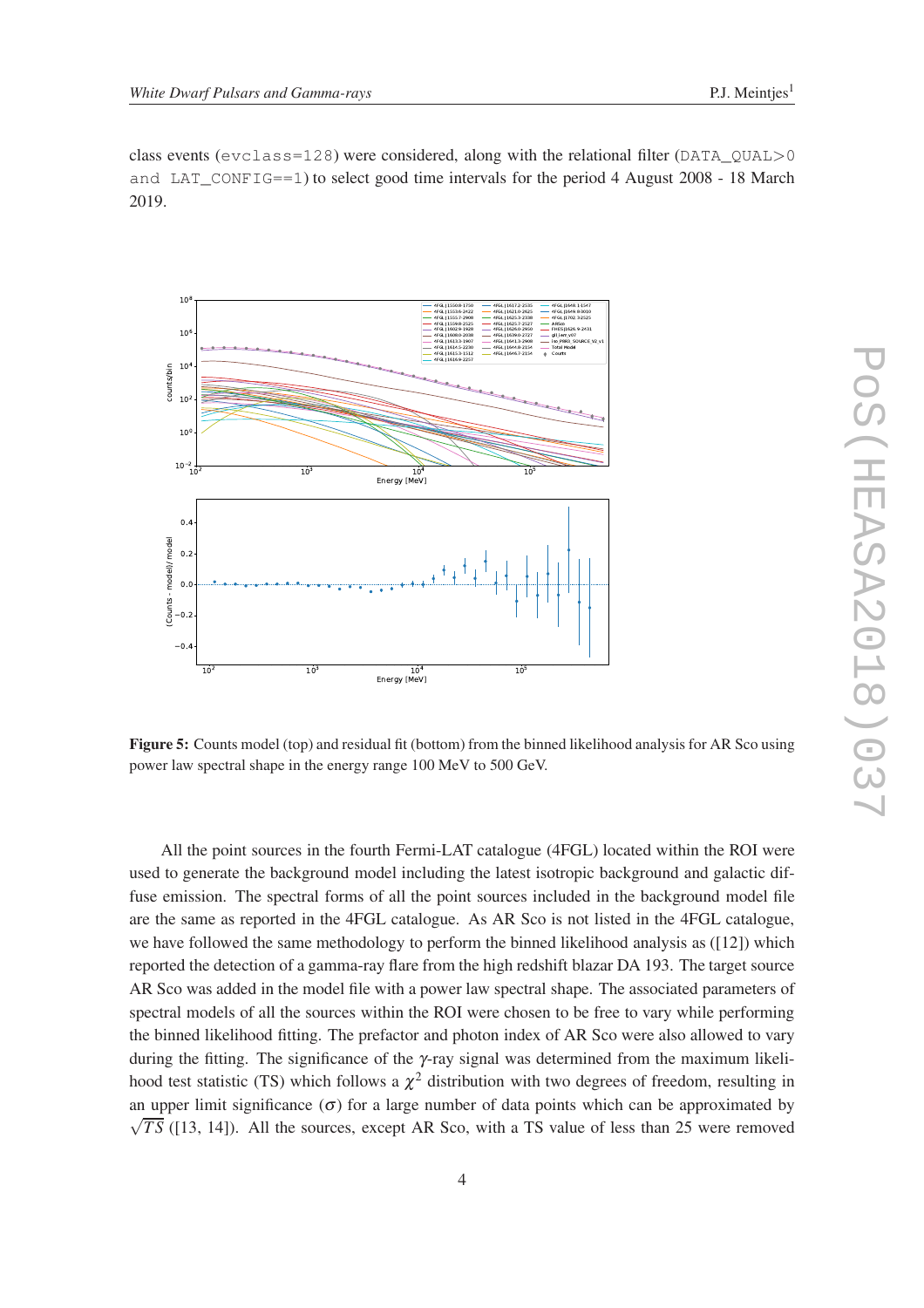class events ( $\epsilon$ vclass=128) were considered, along with the relational filter (DATA\_QUAL>0 and LAT\_CONFIG==1) to select good time intervals for the period 4 August 2008 - 18 March 2019.



Figure 5: Counts model (top) and residual fit (bottom) from the binned likelihood analysis for AR Sco using power law spectral shape in the energy range 100 MeV to 500 GeV.

All the point sources in the fourth Fermi-LAT catalogue (4FGL) located within the ROI were used to generate the background model including the latest isotropic background and galactic diffuse emission. The spectral forms of all the point sources included in the background model file are the same as reported in the 4FGL catalogue. As AR Sco is not listed in the 4FGL catalogue, we have followed the same methodology to perform the binned likelihood analysis as ([12]) which reported the detection of a gamma-ray flare from the high redshift blazar DA 193. The target source AR Sco was added in the model file with a power law spectral shape. The associated parameters of spectral models of all the sources within the ROI were chosen to be free to vary while performing the binned likelihood fitting. The prefactor and photon index of AR Sco were also allowed to vary during the fitting. The significance of the γ-ray signal was determined from the maximum likelihood test statistic (TS) which follows a  $\chi^2$  distribution with two degrees of freedom, resulting in an upper limit significance  $(\sigma)$  for a large number of data points which can be approximated by  $\sqrt{TS}$  ([13, 14]). All the sources, except AR Sco, with a TS value of less than 25 were removed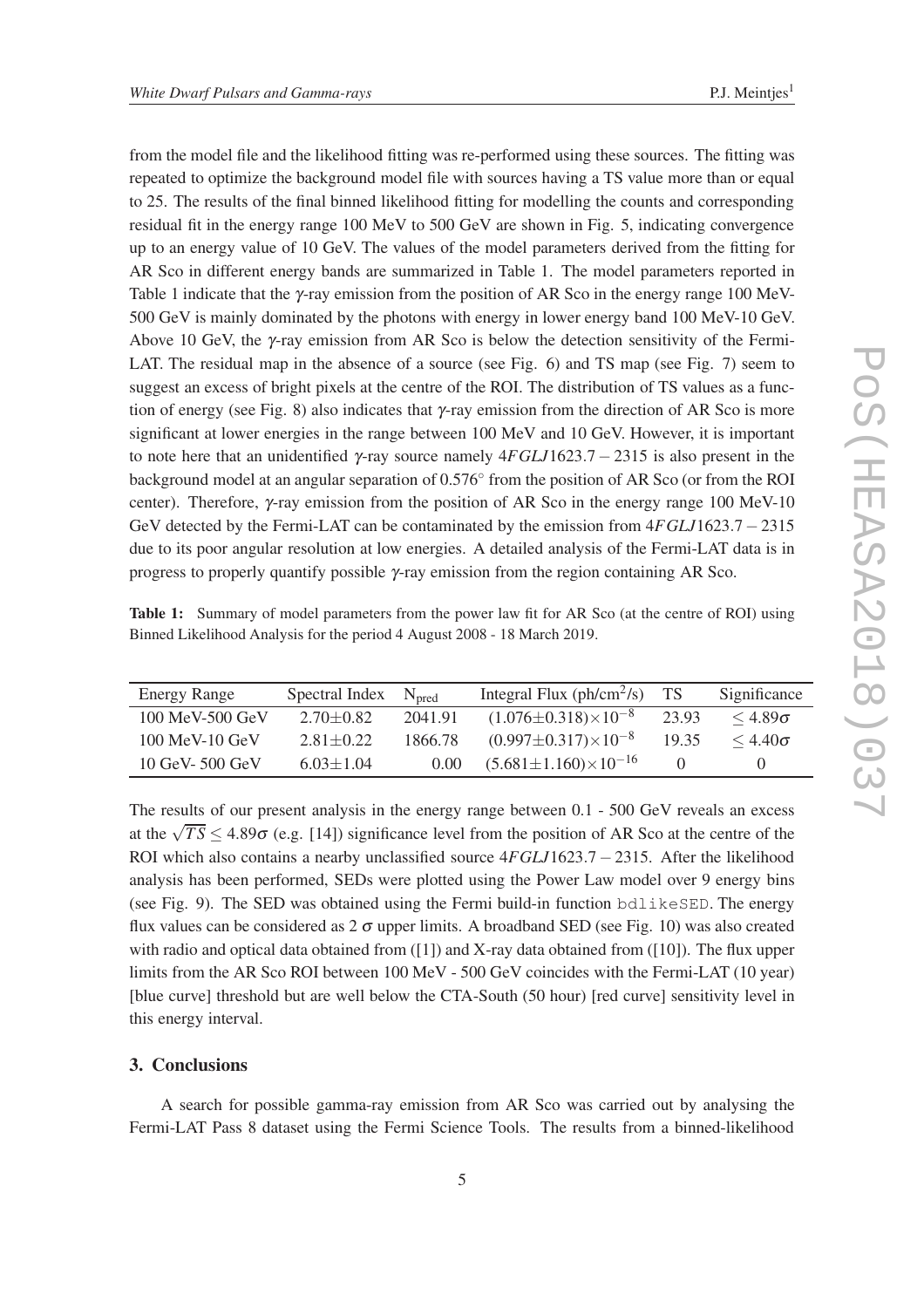from the model file and the likelihood fitting was re-performed using these sources. The fitting was repeated to optimize the background model file with sources having a TS value more than or equal to 25. The results of the final binned likelihood fitting for modelling the counts and corresponding residual fit in the energy range 100 MeV to 500 GeV are shown in Fig. 5, indicating convergence up to an energy value of 10 GeV. The values of the model parameters derived from the fitting for AR Sco in different energy bands are summarized in Table 1. The model parameters reported in Table 1 indicate that the  $\gamma$ -ray emission from the position of AR Sco in the energy range 100 MeV-500 GeV is mainly dominated by the photons with energy in lower energy band 100 MeV-10 GeV. Above 10 GeV, the  $\gamma$ -ray emission from AR Sco is below the detection sensitivity of the Fermi-LAT. The residual map in the absence of a source (see Fig. 6) and TS map (see Fig. 7) seem to suggest an excess of bright pixels at the centre of the ROI. The distribution of TS values as a function of energy (see Fig. 8) also indicates that  $\gamma$ -ray emission from the direction of AR Sco is more significant at lower energies in the range between 100 MeV and 10 GeV. However, it is important to note here that an unidentified <sup>γ</sup>-ray source namely 4*FGLJ*1623.7− 2315 is also present in the background model at an angular separation of 0.576° from the position of AR Sco (or from the ROI center). Therefore, γ-ray emission from the position of AR Sco in the energy range 100 MeV-10 GeV detected by the Fermi-LAT can be contaminated by the emission from 4*FGLJ*1623.7−2315 due to its poor angular resolution at low energies. A detailed analysis of the Fermi-LAT data is in progress to properly quantify possible  $\gamma$ -ray emission from the region containing AR Sco.

| Table 1: Summary of model parameters from the power law fit for AR Sco (at the centre of ROI) using |  |  |  |  |  |
|-----------------------------------------------------------------------------------------------------|--|--|--|--|--|
| Binned Likelihood Analysis for the period 4 August 2008 - 18 March 2019.                            |  |  |  |  |  |

| Energy Range        | Spectral Index  | N <sub>pred</sub> | Integral Flux ( $ph/cm^2/s$ )       | <b>TS</b> | Significance      |
|---------------------|-----------------|-------------------|-------------------------------------|-----------|-------------------|
| $100$ MeV-500 GeV   | $2.70 \pm 0.82$ | 2041.91           | $(1.076 \pm 0.318) \times 10^{-8}$  | 23.93     | $\leq 4.89\sigma$ |
| $100$ MeV- $10$ GeV | $2.81 \pm 0.22$ | 1866.78           | $(0.997 \pm 0.317) \times 10^{-8}$  | 19.35     | $\leq 4.40\sigma$ |
| $10$ GeV- $500$ GeV | $6.03 \pm 1.04$ | 0.00              | $(5.681 \pm 1.160) \times 10^{-16}$ |           |                   |

The results of our present analysis in the energy range between 0.1 - 500 GeV reveals an excess at the  $\sqrt{TS} \leq 4.89\sigma$  (e.g. [14]) significance level from the position of AR Sco at the centre of the ROI which also contains a nearby unclassified source 4*FGLJ*1623.7− 2315. After the likelihood analysis has been performed, SEDs were plotted using the Power Law model over 9 energy bins (see Fig. 9). The SED was obtained using the Fermi build-in function bdlikeSED. The energy flux values can be considered as  $2\sigma$  upper limits. A broadband SED (see Fig. 10) was also created with radio and optical data obtained from ([1]) and X-ray data obtained from ([10]). The flux upper limits from the AR Sco ROI between 100 MeV - 500 GeV coincides with the Fermi-LAT (10 year) [blue curve] threshold but are well below the CTA-South (50 hour) [red curve] sensitivity level in this energy interval.

# 3. Conclusions

A search for possible gamma-ray emission from AR Sco was carried out by analysing the Fermi-LAT Pass 8 dataset using the Fermi Science Tools. The results from a binned-likelihood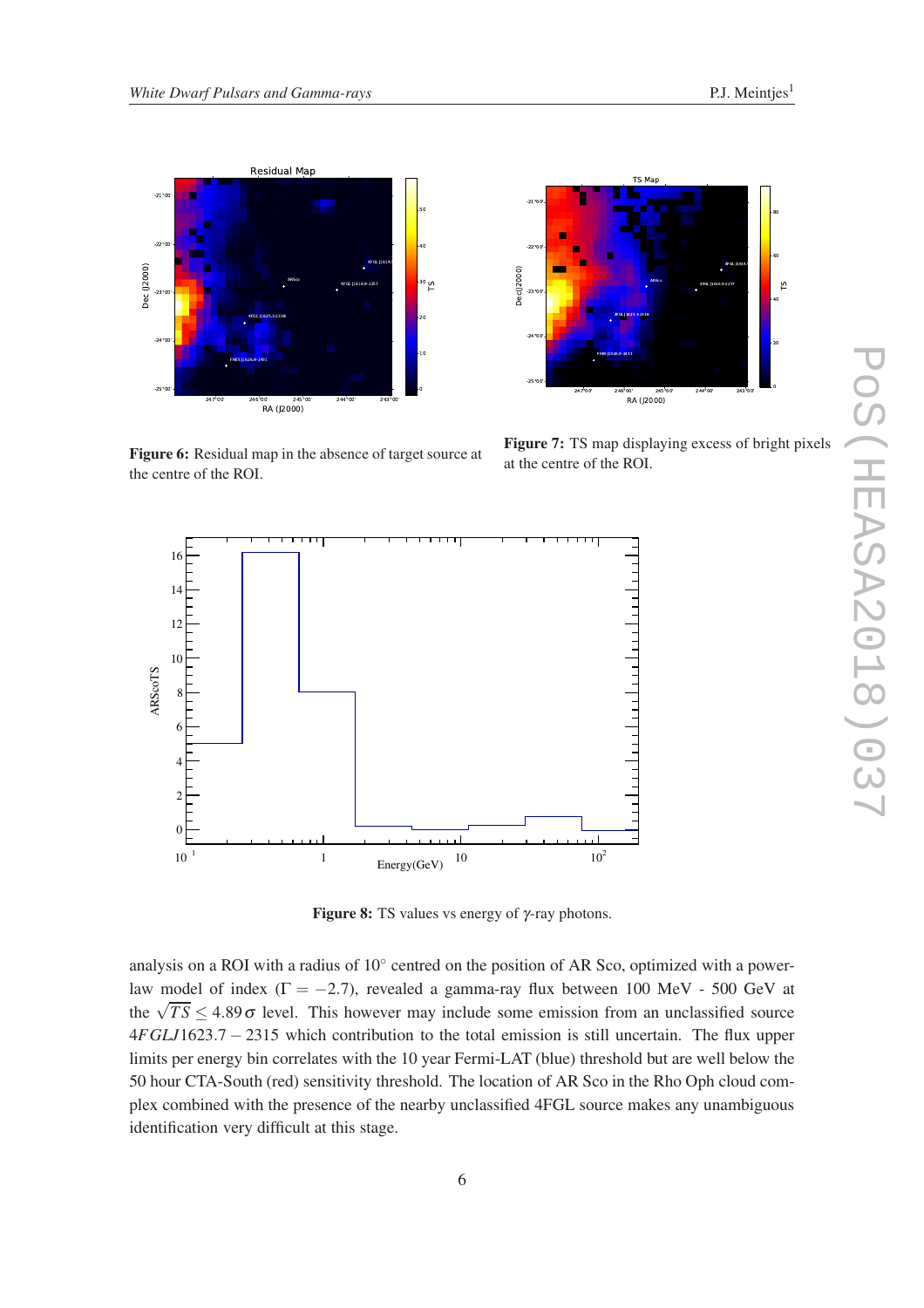



Figure 6: Residual map in the absence of target source at the centre of the ROI.

Figure 7: TS map displaying excess of bright pixels at the centre of the ROI.



**Figure 8:** TS values vs energy of  $\gamma$ -ray photons.

analysis on a ROI with a radius of 10° centred on the position of AR Sco, optimized with a powerlaw model of index ( $\Gamma = -2.7$ ), revealed a gamma-ray flux between 100 MeV - 500 GeV at the  $\sqrt{TS} \leq 4.89 \sigma$  level. This however may include some emission from an unclassified source 4*FGLJ*1623.7 − 2315 which contribution to the total emission is still uncertain. The flux upper limits per energy bin correlates with the 10 year Fermi-LAT (blue) threshold but are well below the 50 hour CTA-South (red) sensitivity threshold. The location of AR Sco in the Rho Oph cloud complex combined with the presence of the nearby unclassified 4FGL source makes any unambiguous identification very difficult at this stage.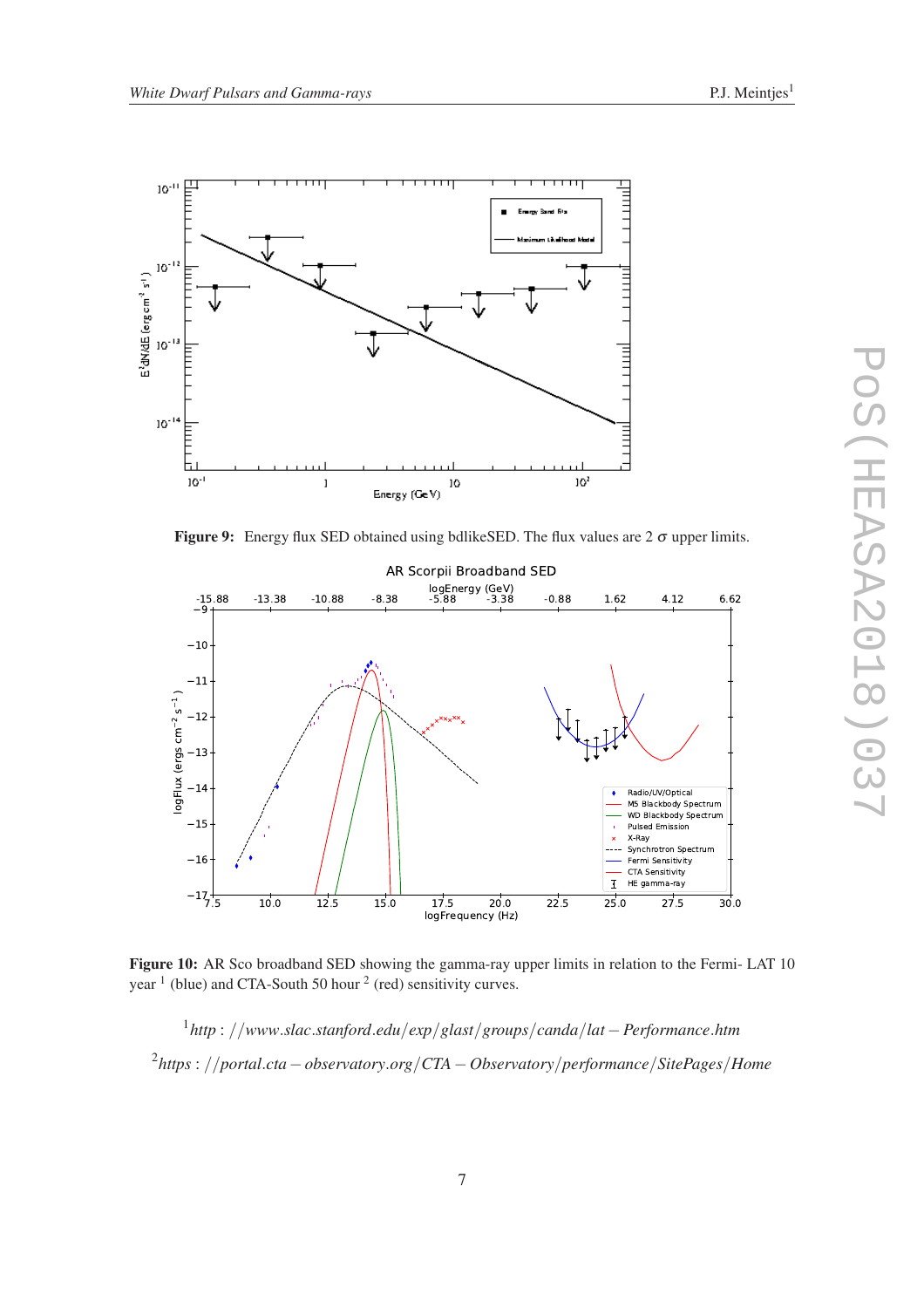

Figure 9: Energy flux SED obtained using bdlikeSED. The flux values are  $2\sigma$  upper limits.



Figure 10: AR Sco broadband SED showing the gamma-ray upper limits in relation to the Fermi-LAT 10 year  $<sup>1</sup>$  (blue) and CTA-South 50 hour  $<sup>2</sup>$  (red) sensitivity curves.</sup></sup>

1 *http* : //*www*.*slac*.*stanford*.*edu*/*exp*/*glast*/*groups*/*canda*/*lat*−*Performance*.*htm* 2 *https* : //*portal*.*cta*−*observatory*.*org*/*CTA*−*Observatory*/*performance*/*SitePages*/*Home*